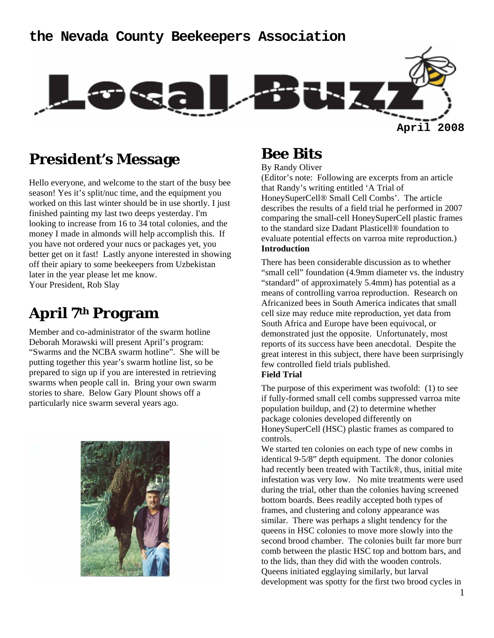### **the Nevada County Beekeepers Association**



## **President's Message**

Hello everyone, and welcome to the start of the busy bee season! Yes it's split/nuc time, and the equipment you worked on this last winter should be in use shortly. I just finished painting my last two deeps yesterday. I'm looking to increase from 16 to 34 total colonies, and the money I made in almonds will help accomplish this. If you have not ordered your nucs or packages yet, you better get on it fast! Lastly anyone interested in showing off their apiary to some beekeepers from Uzbekistan later in the year please let me know. Your President, Rob Slay

## **April 7th Program**

Member and co-administrator of the swarm hotline Deborah Morawski will present April's program: "Swarms and the NCBA swarm hotline". She will be putting together this year's swarm hotline list, so be prepared to sign up if you are interested in retrieving swarms when people call in. Bring your own swarm stories to share. Below Gary Plount shows off a particularly nice swarm several years ago.



### **Bee Bits**

By Randy Oliver

(Editor's note: Following are excerpts from an article that Randy's writing entitled 'A Trial of HoneySuperCell® Small Cell Combs'. The article describes the results of a field trial he performed in 2007 comparing the small-cell HoneySuperCell plastic frames to the standard size Dadant Plasticell® foundation to evaluate potential effects on varroa mite reproduction.) **Introduction** 

There has been considerable discussion as to whether "small cell" foundation (4.9mm diameter vs. the industry "standard" of approximately 5.4mm) has potential as a means of controlling varroa reproduction. Research on Africanized bees in South America indicates that small cell size may reduce mite reproduction, yet data from South Africa and Europe have been equivocal, or demonstrated just the opposite. Unfortunately, most reports of its success have been anecdotal. Despite the great interest in this subject, there have been surprisingly few controlled field trials published.

#### **Field Trial**

The purpose of this experiment was twofold: (1) to see if fully-formed small cell combs suppressed varroa mite population buildup, and (2) to determine whether package colonies developed differently on HoneySuperCell (HSC) plastic frames as compared to controls.

We started ten colonies on each type of new combs in identical 9-5/8" depth equipment. The donor colonies had recently been treated with Tactik®, thus, initial mite infestation was very low. No mite treatments were used during the trial, other than the colonies having screened bottom boards. Bees readily accepted both types of frames, and clustering and colony appearance was similar. There was perhaps a slight tendency for the queens in HSC colonies to move more slowly into the second brood chamber. The colonies built far more burr comb between the plastic HSC top and bottom bars, and to the lids, than they did with the wooden controls. Queens initiated egglaying similarly, but larval development was spotty for the first two brood cycles in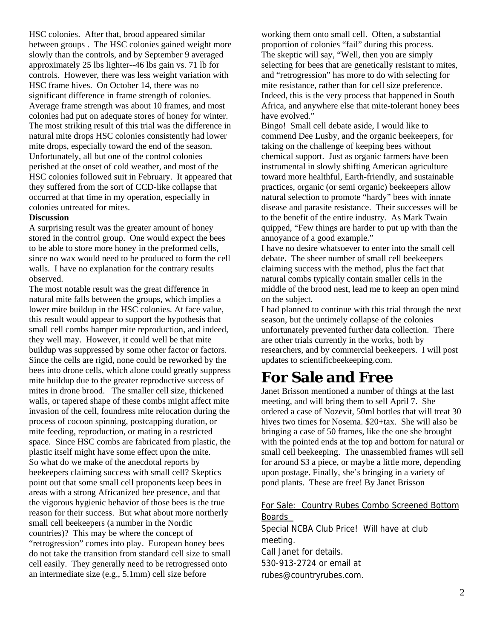HSC colonies. After that, brood appeared similar between groups . The HSC colonies gained weight more slowly than the controls, and by September 9 averaged approximately 25 lbs lighter--46 lbs gain vs. 71 lb for controls. However, there was less weight variation with HSC frame hives. On October 14, there was no significant difference in frame strength of colonies. Average frame strength was about 10 frames, and most colonies had put on adequate stores of honey for winter. The most striking result of this trial was the difference in natural mite drops HSC colonies consistently had lower mite drops, especially toward the end of the season. Unfortunately, all but one of the control colonies perished at the onset of cold weather, and most of the HSC colonies followed suit in February. It appeared that they suffered from the sort of CCD-like collapse that occurred at that time in my operation, especially in colonies untreated for mites.

#### **Discussion**

A surprising result was the greater amount of honey stored in the control group. One would expect the bees to be able to store more honey in the preformed cells, since no wax would need to be produced to form the cell walls. I have no explanation for the contrary results observed.

The most notable result was the great difference in natural mite falls between the groups, which implies a lower mite buildup in the HSC colonies. At face value, this result would appear to support the hypothesis that small cell combs hamper mite reproduction, and indeed, they well may. However, it could well be that mite buildup was suppressed by some other factor or factors. Since the cells are rigid, none could be reworked by the bees into drone cells, which alone could greatly suppress mite buildup due to the greater reproductive success of mites in drone brood. The smaller cell size, thickened walls, or tapered shape of these combs might affect mite invasion of the cell, foundress mite relocation during the process of cocoon spinning, postcapping duration, or mite feeding, reproduction, or mating in a restricted space. Since HSC combs are fabricated from plastic, the plastic itself might have some effect upon the mite. So what do we make of the anecdotal reports by beekeepers claiming success with small cell? Skeptics point out that some small cell proponents keep bees in areas with a strong Africanized bee presence, and that the vigorous hygienic behavior of those bees is the true reason for their success. But what about more northerly small cell beekeepers (a number in the Nordic countries)? This may be where the concept of "retrogression" comes into play. European honey bees do not take the transition from standard cell size to small cell easily. They generally need to be retrogressed onto an intermediate size (e.g., 5.1mm) cell size before

working them onto small cell. Often, a substantial proportion of colonies "fail" during this process. The skeptic will say, "Well, then you are simply selecting for bees that are genetically resistant to mites, and "retrogression" has more to do with selecting for mite resistance, rather than for cell size preference. Indeed, this is the very process that happened in South Africa, and anywhere else that mite-tolerant honey bees have evolved."

Bingo! Small cell debate aside, I would like to commend Dee Lusby, and the organic beekeepers, for taking on the challenge of keeping bees without chemical support. Just as organic farmers have been instrumental in slowly shifting American agriculture toward more healthful, Earth-friendly, and sustainable practices, organic (or semi organic) beekeepers allow natural selection to promote "hardy" bees with innate disease and parasite resistance. Their successes will be to the benefit of the entire industry. As Mark Twain quipped, "Few things are harder to put up with than the annoyance of a good example."

I have no desire whatsoever to enter into the small cell debate. The sheer number of small cell beekeepers claiming success with the method, plus the fact that natural combs typically contain smaller cells in the middle of the brood nest, lead me to keep an open mind on the subject.

I had planned to continue with this trial through the next season, but the untimely collapse of the colonies unfortunately prevented further data collection. There are other trials currently in the works, both by researchers, and by commercial beekeepers. I will post updates to scientificbeekeeping.com.

## **For Sale and Free**

Janet Brisson mentioned a number of things at the last meeting, and will bring them to sell April 7. She ordered a case of Nozevit, 50ml bottles that will treat 30 hives two times for Nosema. \$20+tax. She will also be bringing a case of 50 frames, like the one she brought with the pointed ends at the top and bottom for natural or small cell beekeeping. The unassembled frames will sell for around \$3 a piece, or maybe a little more, depending upon postage. Finally, she's bringing in a variety of pond plants. These are free! By Janet Brisson

#### For Sale: Country Rubes Combo Screened Bottom Boards

Special NCBA Club Price! Will have at club meeting. Call Janet for details. 530-913-2724 or email at rubes@countryrubes.com.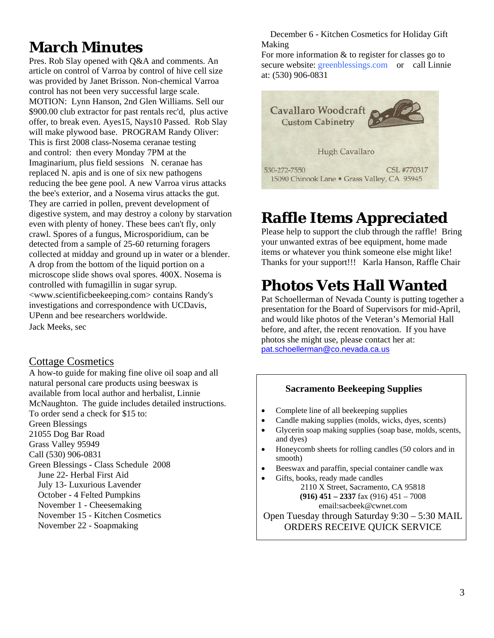## **March Minutes**

Pres. Rob Slay opened with Q&A and comments. An article on control of Varroa by control of hive cell size was provided by Janet Brisson. Non-chemical Varroa control has not been very successful large scale. MOTION: Lynn Hanson, 2nd Glen Williams. Sell our \$900.00 club extractor for past rentals rec'd, plus active offer, to break even. Ayes15, Nays10 Passed. Rob Slay will make plywood base. PROGRAM Randy Oliver: This is first 2008 class-Nosema ceranae testing and control: then every Monday 7PM at the Imaginarium, plus field sessions N. ceranae has replaced N. apis and is one of six new pathogens reducing the bee gene pool. A new Varroa virus attacks the bee's exterior, and a Nosema virus attacks the gut. They are carried in pollen, prevent development of digestive system, and may destroy a colony by starvation even with plenty of honey. These bees can't fly, only crawl. Spores of a fungus, Microsporidium, can be detected from a sample of 25-60 returning foragers collected at midday and ground up in water or a blender. A drop from the bottom of the liquid portion on a microscope slide shows oval spores. 400X. Nosema is controlled with fumagillin in sugar syrup. <www.scientificbeekeeping.com> contains Randy's investigations and correspondence with UCDavis, UPenn and bee researchers worldwide. Jack Meeks, sec

#### Cottage Cosmetics

A how-to guide for making fine olive oil soap and all natural personal care products using beeswax is available from local author and herbalist, Linnie McNaughton. The guide includes detailed instructions. To order send a check for \$15 to: Green Blessings 21055 Dog Bar Road Grass Valley 95949 Call (530) 906-0831 Green Blessings - Class Schedule 2008 June 22- Herbal First Aid July 13- Luxurious Lavender October - 4 Felted Pumpkins November 1 - Cheesemaking November 15 - Kitchen Cosmetics November 22 - Soapmaking

 December 6 - Kitchen Cosmetics for Holiday Gift Making

For more information & to register for classes go to secure website: greenblessings.com or call Linnie at: (530) 906-0831



# **Raffle Items Appreciated**

Please help to support the club through the raffle! Bring your unwanted extras of bee equipment, home made items or whatever you think someone else might like! Thanks for your support!!! Karla Hanson, Raffle Chair

# **Photos Vets Hall Wanted**

Pat Schoellerman of Nevada County is putting together a presentation for the Board of Supervisors for mid-April, and would like photos of the Veteran's Memorial Hall before, and after, the recent renovation. If you have photos she might use, please contact her at: pat.schoellerman@co.nevada.ca.us

#### **Sacramento Beekeeping Supplies**

- Complete line of all beekeeping supplies
- Candle making supplies (molds, wicks, dyes, scents)
- Glycerin soap making supplies (soap base, molds, scents, and dyes)
- Honeycomb sheets for rolling candles (50 colors and in smooth)
- Beeswax and paraffin, special container candle wax
- Gifts, books, ready made candles

2110 X Street, Sacramento, CA 95818 **(916) 451 – 2337** fax (916) 451 – 7008

email:sacbeek@cwnet.com

Open Tuesday through Saturday 9:30 – 5:30 MAIL ORDERS RECEIVE QUICK SERVICE